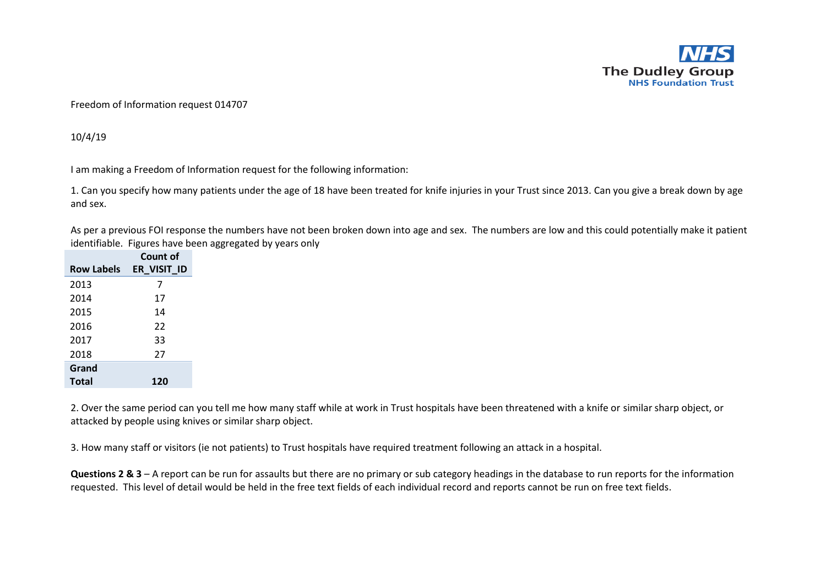

## Freedom of Information request 014707

10/4/19

I am making a Freedom of Information request for the following information:

1. Can you specify how many patients under the age of 18 have been treated for knife injuries in your Trust since 2013. Can you give a break down by age and sex.

As per a previous FOI response the numbers have not been broken down into age and sex. The numbers are low and this could potentially make it patient identifiable. Figures have been aggregated by years only

|                   | Count of    |
|-------------------|-------------|
| <b>Row Labels</b> | er visit id |
| 2013              | 7           |
| 2014              | 17          |
| 2015              | 14          |
| 2016              | 22          |
| 2017              | 33          |
| 2018              | 27          |
| Grand             |             |
| Total             | 120         |

2. Over the same period can you tell me how many staff while at work in Trust hospitals have been threatened with a knife or similar sharp object, or attacked by people using knives or similar sharp object.

3. How many staff or visitors (ie not patients) to Trust hospitals have required treatment following an attack in a hospital.

**Questions 2 & 3** – A report can be run for assaults but there are no primary or sub category headings in the database to run reports for the information requested. This level of detail would be held in the free text fields of each individual record and reports cannot be run on free text fields.